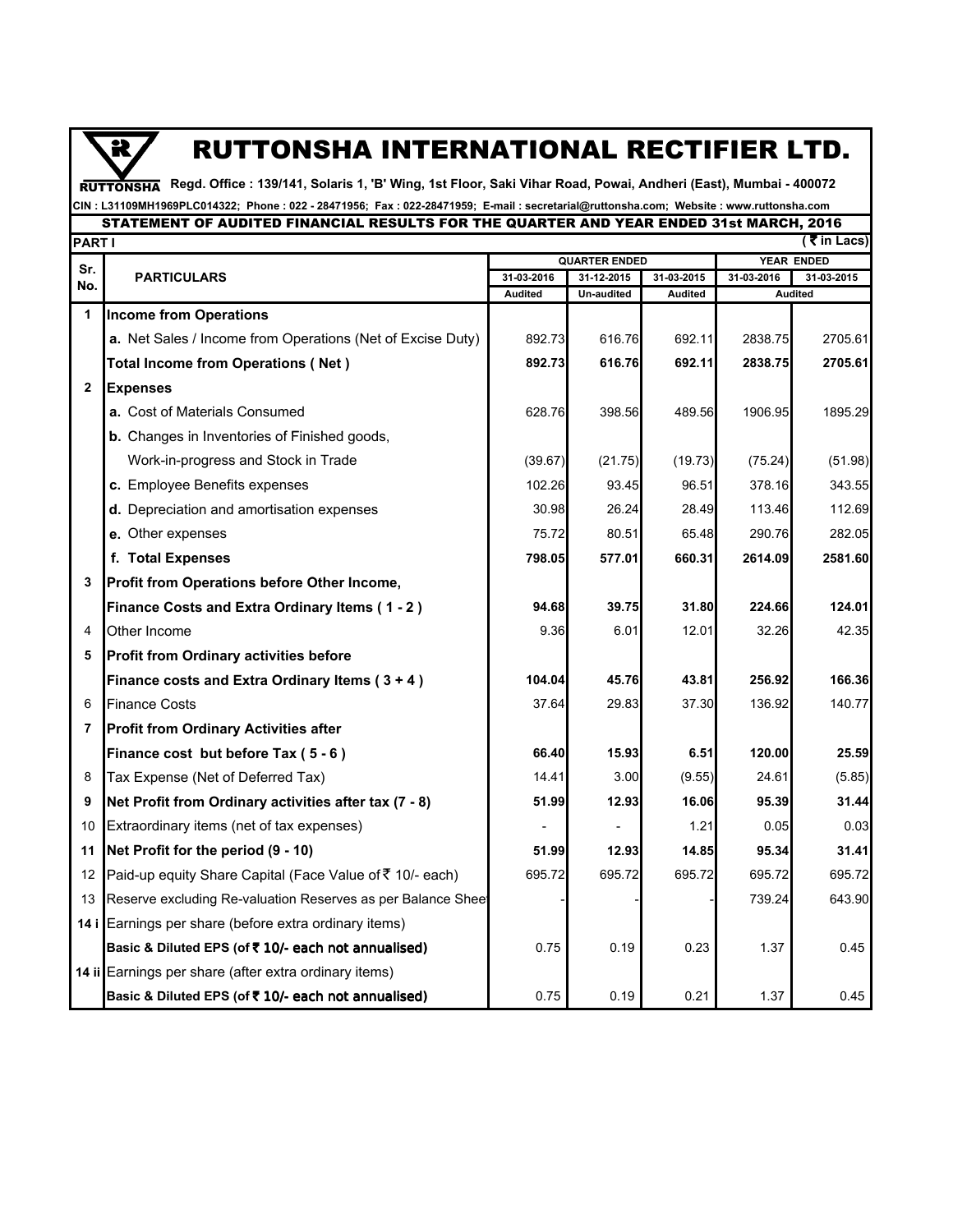## $\overline{\mathbf{R}}$

## RUTTONSHA INTERNATIONAL RECTIFIER LTD.

**Regd. Office : 139/141, Solaris 1, 'B' Wing, 1st Floor, Saki Vihar Road, Powai, Andheri (East), Mumbai - 400072**  RUTTONSHA

## **CIN : L31109MH1969PLC014322; Phone : 022 - 28471956; Fax : 022-28471959; E-mail : secretarial@ruttonsha.com; Website : www.ruttonsha.com** STATEMENT OF AUDITED FINANCIAL RESULTS FOR THE QUARTER AND YEAR ENDED 31st MARCH, 2016

|                | ( ₹ in Lacs)<br>PART I                                      |                       |                          |                       |            |                              |  |  |  |
|----------------|-------------------------------------------------------------|-----------------------|--------------------------|-----------------------|------------|------------------------------|--|--|--|
| Sr.            | <b>PARTICULARS</b>                                          | <b>QUARTER ENDED</b>  |                          |                       | YEAR ENDED |                              |  |  |  |
| No.            |                                                             | 31-03-2016<br>Audited | 31-12-2015<br>Un-audited | 31-03-2015<br>Audited | 31-03-2016 | 31-03-2015<br><b>Audited</b> |  |  |  |
| 1              | <b>Income from Operations</b>                               |                       |                          |                       |            |                              |  |  |  |
|                | a. Net Sales / Income from Operations (Net of Excise Duty)  | 892.73                | 616.76                   | 692.11                | 2838.75    | 2705.61                      |  |  |  |
|                | <b>Total Income from Operations (Net)</b>                   | 892.73                | 616.76                   | 692.11                | 2838.75    | 2705.61                      |  |  |  |
| $\mathbf{2}$   | <b>Expenses</b>                                             |                       |                          |                       |            |                              |  |  |  |
|                | a. Cost of Materials Consumed                               | 628.76                | 398.56                   | 489.56                | 1906.95    | 1895.29                      |  |  |  |
|                | <b>b.</b> Changes in Inventories of Finished goods,         |                       |                          |                       |            |                              |  |  |  |
|                | Work-in-progress and Stock in Trade                         | (39.67)               | (21.75)                  | (19.73)               | (75.24)    | (51.98)                      |  |  |  |
|                | c. Employee Benefits expenses                               | 102.26                | 93.45                    | 96.51                 | 378.16     | 343.55                       |  |  |  |
|                | d. Depreciation and amortisation expenses                   | 30.98                 | 26.24                    | 28.49                 | 113.46     | 112.69                       |  |  |  |
|                | e. Other expenses                                           | 75.72                 | 80.51                    | 65.48                 | 290.76     | 282.05                       |  |  |  |
|                | f. Total Expenses                                           | 798.05                | 577.01                   | 660.31                | 2614.09    | 2581.60                      |  |  |  |
| 3              | Profit from Operations before Other Income,                 |                       |                          |                       |            |                              |  |  |  |
|                | Finance Costs and Extra Ordinary Items (1-2)                | 94.68                 | 39.75                    | 31.80                 | 224.66     | 124.01                       |  |  |  |
| 4              | Other Income                                                | 9.36                  | 6.01                     | 12.01                 | 32.26      | 42.35                        |  |  |  |
| 5              | <b>Profit from Ordinary activities before</b>               |                       |                          |                       |            |                              |  |  |  |
|                | Finance costs and Extra Ordinary Items $(3 + 4)$            | 104.04                | 45.76                    | 43.81                 | 256.92     | 166.36                       |  |  |  |
| 6              | <b>Finance Costs</b>                                        | 37.64                 | 29.83                    | 37.30                 | 136.92     | 140.77                       |  |  |  |
| $\overline{7}$ | <b>Profit from Ordinary Activities after</b>                |                       |                          |                       |            |                              |  |  |  |
|                | Finance cost but before Tax (5 - 6)                         | 66.40                 | 15.93                    | 6.51                  | 120.00     | 25.59                        |  |  |  |
| 8              | Tax Expense (Net of Deferred Tax)                           | 14.41                 | 3.00                     | (9.55)                | 24.61      | (5.85)                       |  |  |  |
| 9              | Net Profit from Ordinary activities after tax (7 - 8)       | 51.99                 | 12.93                    | 16.06                 | 95.39      | 31.44                        |  |  |  |
| 10             | Extraordinary items (net of tax expenses)                   |                       |                          | 1.21                  | 0.05       | 0.03                         |  |  |  |
| 11             | Net Profit for the period (9 - 10)                          | 51.99                 | 12.93                    | 14.85                 | 95.34      | 31.41                        |  |  |  |
| 12             | Paid-up equity Share Capital (Face Value of ₹ 10/- each)    | 695.72                | 695.72                   | 695.72                | 695.72     | 695.72                       |  |  |  |
| 13             | Reserve excluding Re-valuation Reserves as per Balance Shee |                       |                          |                       | 739.24     | 643.90                       |  |  |  |
|                | 14 i Earnings per share (before extra ordinary items)       |                       |                          |                       |            |                              |  |  |  |
|                | Basic & Diluted EPS (of ₹ 10/- each not annualised)         | 0.75                  | 0.19                     | 0.23                  | 1.37       | 0.45                         |  |  |  |
|                | 14 ii Earnings per share (after extra ordinary items)       |                       |                          |                       |            |                              |  |  |  |
|                | Basic & Diluted EPS (of ₹ 10/- each not annualised)         | 0.75                  | 0.19                     | 0.21                  | 1.37       | 0.45                         |  |  |  |